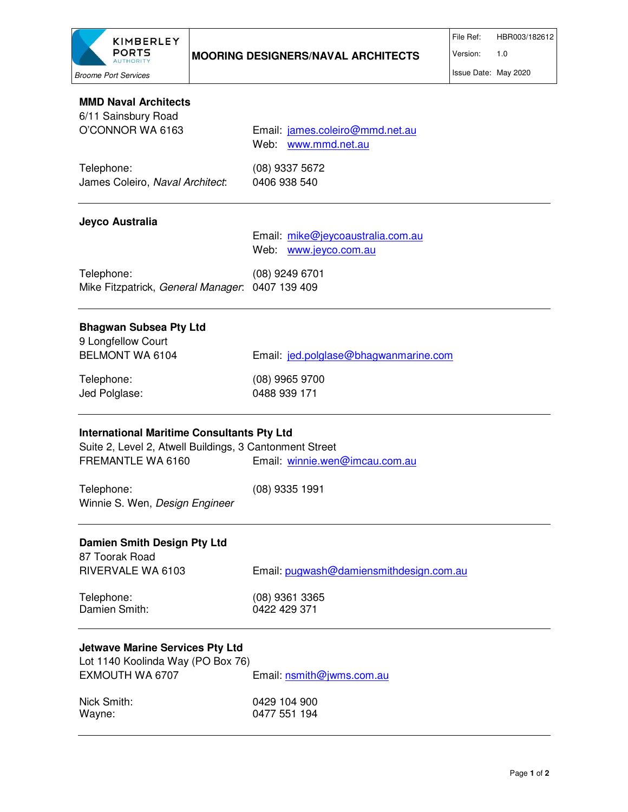

| <b>MMD Naval Architects</b><br>6/11 Sainsbury Road                                                                                |                                                            |
|-----------------------------------------------------------------------------------------------------------------------------------|------------------------------------------------------------|
| O'CONNOR WA 6163                                                                                                                  | Email: james.coleiro@mmd.net.au<br>Web: www.mmd.net.au     |
| Telephone:<br>James Coleiro, Naval Architect:                                                                                     | (08) 9337 5672<br>0406 938 540                             |
| Jeyco Australia                                                                                                                   |                                                            |
|                                                                                                                                   | Email: mike@jeycoaustralia.com.au<br>Web: www.jeyco.com.au |
| Telephone:<br>Mike Fitzpatrick, General Manager. 0407 139 409                                                                     | (08) 9249 6701                                             |
| <b>Bhagwan Subsea Pty Ltd</b><br>9 Longfellow Court                                                                               |                                                            |
| BELMONT WA 6104                                                                                                                   | Email: jed.polglase@bhagwanmarine.com                      |
| Telephone:<br>Jed Polglase:                                                                                                       | (08) 9965 9700<br>0488 939 171                             |
| <b>International Maritime Consultants Pty Ltd</b><br>Suite 2, Level 2, Atwell Buildings, 3 Cantonment Street<br>FREMANTLE WA 6160 | Email: winnie.wen@imcau.com.au                             |
| Telephone:<br>Winnie S. Wen, Design Engineer                                                                                      | $(08)$ 9335 1991                                           |
| <b>Damien Smith Design Pty Ltd</b><br>87 Toorak Road                                                                              |                                                            |
| RIVERVALE WA 6103                                                                                                                 | Email: pugwash@damiensmithdesign.com.au                    |
| Telephone:<br>Damien Smith:                                                                                                       | (08) 9361 3365<br>0422 429 371                             |
| <b>Jetwave Marine Services Pty Ltd</b><br>Lot 1140 Koolinda Way (PO Box 76)                                                       |                                                            |
| EXMOUTH WA 6707                                                                                                                   | Email: nsmith@jwms.com.au                                  |
| Nick Smith:<br>Wayne:                                                                                                             | 0429 104 900<br>0477 551 194                               |